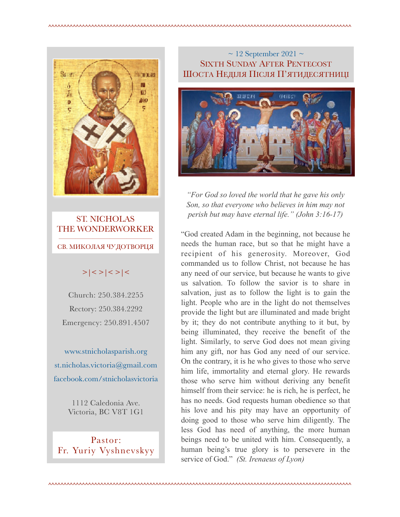

ST. NICHOLAS THE WONDERWORKER  $\frac{1}{\sqrt{2}}$  , and the contract of  $\frac{1}{\sqrt{2}}$  , and  $\frac{1}{\sqrt{2}}$  , and  $\frac{1}{\sqrt{2}}$ СВ. МИКОЛАЯ ЧУДОТВОРЦЯ

# $>|$  < >  $|$  <  $>$   $|$  <  $>$   $|$  <  $>$   $|$  <

Church: 250.384.2255 Rectory: 250.384.2292 Emergency: 250.891.4507

[www.stnicholasparish.org](http://www.stnicholasparish.org)  [st.nicholas.victoria@gmail.com](mailto:st.nicholas.victoria@gmail.com)  [facebook.com/stnicholasvictoria](http://facebook.com/stnicholasvictoria)

> 1112 Caledonia Ave. Victoria, BC V8T 1G1

Pastor: Fr. Yuriy Vyshnevskyy

## $\sim$  12 September 2021  $\sim$ SIXTH SUNDAY AFTER PENTECOST ШОСТА НЕДІЛЯ ПІСЛЯ П'ЯТИДЕСЯТНИЦІ



*"For God so loved the world that he gave his only Son, so that everyone who believes in him may not perish but may have eternal life." (John 3:16-17)* 

"God created Adam in the beginning, not because he needs the human race, but so that he might have a recipient of his generosity. Moreover, God commanded us to follow Christ, not because he has any need of our service, but because he wants to give us salvation. To follow the savior is to share in salvation, just as to follow the light is to gain the light. People who are in the light do not themselves provide the light but are illuminated and made bright by it; they do not contribute anything to it but, by being illuminated, they receive the benefit of the light. Similarly, to serve God does not mean giving him any gift, nor has God any need of our service. On the contrary, it is he who gives to those who serve him life, immortality and eternal glory. He rewards those who serve him without deriving any benefit himself from their service: he is rich, he is perfect, he has no needs. God requests human obedience so that his love and his pity may have an opportunity of doing good to those who serve him diligently. The less God has need of anything, the more human beings need to be united with him. Consequently, a human being's true glory is to persevere in the service of God." *(St. Irenaeus of Lyon)*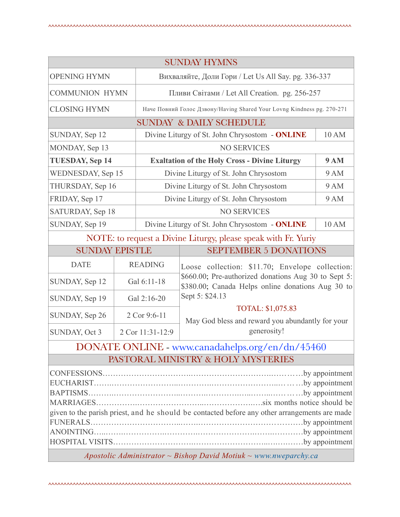| <b>SUNDAY HYMNS</b>                                                                                                                                                         |                |                                                                        |                                                                                                                                                                                 |  |
|-----------------------------------------------------------------------------------------------------------------------------------------------------------------------------|----------------|------------------------------------------------------------------------|---------------------------------------------------------------------------------------------------------------------------------------------------------------------------------|--|
| <b>OPENING HYMN</b>                                                                                                                                                         |                | Вихваляйте, Доли Гори / Let Us All Say. pg. 336-337                    |                                                                                                                                                                                 |  |
| <b>COMMUNION HYMN</b>                                                                                                                                                       |                | Пливи Світами / Let All Creation. pg. 256-257                          |                                                                                                                                                                                 |  |
| <b>CLOSING HYMN</b>                                                                                                                                                         |                | Наче Повний Голос Дзвону/Having Shared Your Lovng Kindness pg. 270-271 |                                                                                                                                                                                 |  |
| <b>SUNDAY &amp; DAILY SCHEDULE</b>                                                                                                                                          |                |                                                                        |                                                                                                                                                                                 |  |
| SUNDAY, Sep 12                                                                                                                                                              |                | Divine Liturgy of St. John Chrysostom - ONLINE<br>10 AM                |                                                                                                                                                                                 |  |
| MONDAY, Sep 13                                                                                                                                                              |                | <b>NO SERVICES</b>                                                     |                                                                                                                                                                                 |  |
| <b>TUESDAY, Sep 14</b>                                                                                                                                                      |                | <b>Exaltation of the Holy Cross - Divine Liturgy</b><br><b>9 AM</b>    |                                                                                                                                                                                 |  |
| WEDNESDAY, Sep 15                                                                                                                                                           |                | <b>9 AM</b><br>Divine Liturgy of St. John Chrysostom                   |                                                                                                                                                                                 |  |
| THURSDAY, Sep 16                                                                                                                                                            |                | 9 AM<br>Divine Liturgy of St. John Chrysostom                          |                                                                                                                                                                                 |  |
| FRIDAY, Sep 17                                                                                                                                                              |                | Divine Liturgy of St. John Chrysostom<br>9 AM                          |                                                                                                                                                                                 |  |
| SATURDAY, Sep 18                                                                                                                                                            |                | <b>NO SERVICES</b>                                                     |                                                                                                                                                                                 |  |
| SUNDAY, Sep 19                                                                                                                                                              |                |                                                                        | Divine Liturgy of St. John Chrysostom - ONLINE<br>10 AM                                                                                                                         |  |
| NOTE: to request a Divine Liturgy, please speak with Fr. Yuriy                                                                                                              |                |                                                                        |                                                                                                                                                                                 |  |
| <b>SEPTEMBER 5 DONATIONS</b><br><b>SUNDAY EPISTLE</b>                                                                                                                       |                |                                                                        |                                                                                                                                                                                 |  |
| <b>DATE</b>                                                                                                                                                                 | <b>READING</b> |                                                                        | Loose collection: \$11.70; Envelope collection:<br>\$660.00; Pre-authorized donations Aug 30 to Sept 5:<br>\$380.00; Canada Helps online donations Aug 30 to<br>Sept 5: \$24.13 |  |
| SUNDAY, Sep 12                                                                                                                                                              | Gal 6:11-18    |                                                                        |                                                                                                                                                                                 |  |
| SUNDAY, Sep 19                                                                                                                                                              | Gal 2:16-20    |                                                                        |                                                                                                                                                                                 |  |
| SUNDAY, Sep 26                                                                                                                                                              | 2 Cor 9:6-11   |                                                                        | TOTAL: \$1,075.83<br>May God bless and reward you abundantly for your                                                                                                           |  |
| SUNDAY, Oct 3                                                                                                                                                               |                | 2 Cor 11:31-12:9                                                       | generosity!                                                                                                                                                                     |  |
| DONATE ONLINE - www.canadahelps.org/en/dn/45460                                                                                                                             |                |                                                                        |                                                                                                                                                                                 |  |
| PASTORAL MINISTRY & HOLY MYSTERIES                                                                                                                                          |                |                                                                        |                                                                                                                                                                                 |  |
| given to the parish priest, and he should be contacted before any other arrangements are made<br>Apostolic Administrator $\sim$ Bishop David Motiuk $\sim$ www.nweparchy.ca |                |                                                                        |                                                                                                                                                                                 |  |
|                                                                                                                                                                             |                |                                                                        |                                                                                                                                                                                 |  |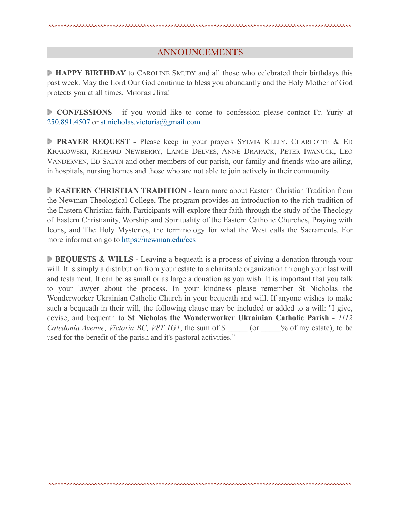#### ANNOUNCEMENTS

**HAPPY BIRTHDAY** to CAROLINE SMUDY and all those who celebrated their birthdays this past week. May the Lord Our God continue to bless you abundantly and the Holy Mother of God protects you at all times. Многая Літа!

**CONFESSIONS** - if you would like to come to confession please contact Fr. Yuriy at 250.891.4507 or [st.nicholas.victoria@gmail.com](mailto:st.nicholas.victoria@gmail.com)

**PRAYER REQUEST -** Please keep in your prayers SYLVIA KELLY, CHARLOTTE & ED KRAKOWSKI, RICHARD NEWBERRY, LANCE DELVES, ANNE DRAPACK, PETER IWANUCK, LEO VANDERVEN, ED SALYN and other members of our parish, our family and friends who are ailing, in hospitals, nursing homes and those who are not able to join actively in their community.

**EASTERN CHRISTIAN TRADITION** - learn more about Eastern Christian Tradition from the Newman Theological College. The program provides an introduction to the rich tradition of the Eastern Christian faith. Participants will explore their faith through the study of the Theology of Eastern Christianity, Worship and Spirituality of the Eastern Catholic Churches, Praying with Icons, and The Holy Mysteries, the terminology for what the West calls the Sacraments. For more information go to <https://newman.edu/ccs>

**BEQUESTS & WILLS** - Leaving a bequeath is a process of giving a donation through your will. It is simply a distribution from your estate to a charitable organization through your last will and testament. It can be as small or as large a donation as you wish. It is important that you talk to your lawyer about the process. In your kindness please remember St Nicholas the Wonderworker Ukrainian Catholic Church in your bequeath and will. If anyone wishes to make such a bequeath in their will, the following clause may be included or added to a will: "I give, devise, and bequeath to **St Nicholas the Wonderworker Ukrainian Catholic Parish -** *1112 Caledonia Avenue, Victoria BC, V8T 1G1*, the sum of \$  $\qquad$  (or  $\qquad$  % of my estate), to be used for the benefit of the parish and it's pastoral activities."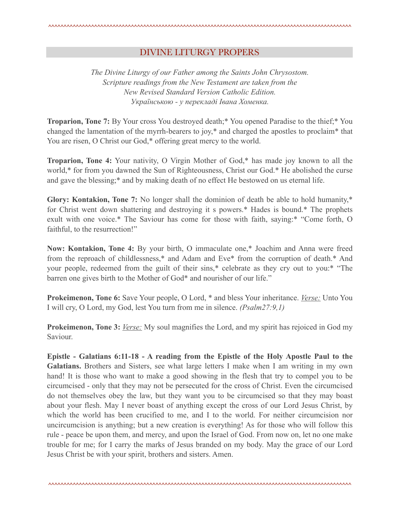### DIVINE LITURGY PROPERS

*The Divine Liturgy of our Father among the Saints John Chrysostom. Scripture readings from the New Testament are taken from the New Revised Standard Version Catholic Edition. Українською - у перекладі Івана Хоменка.* 

**Troparion, Tone 7:** By Your cross You destroyed death;\* You opened Paradise to the thief;\* You changed the lamentation of the myrrh-bearers to joy,\* and charged the apostles to proclaim\* that You are risen, O Christ our God,\* offering great mercy to the world.

**Troparion, Tone 4:** Your nativity, O Virgin Mother of God,\* has made joy known to all the world,\* for from you dawned the Sun of Righteousness, Christ our God.\* He abolished the curse and gave the blessing;\* and by making death of no effect He bestowed on us eternal life.

**Glory: Kontakion, Tone 7:** No longer shall the dominion of death be able to hold humanity,\* for Christ went down shattering and destroying it s powers.\* Hades is bound.\* The prophets exult with one voice.\* The Saviour has come for those with faith, saying:\* "Come forth, O faithful, to the resurrection!"

**Now: Kontakion, Tone 4:** By your birth, O immaculate one,\* Joachim and Anna were freed from the reproach of childlessness,\* and Adam and Eve\* from the corruption of death.\* And your people, redeemed from the guilt of their sins,\* celebrate as they cry out to you:\* "The barren one gives birth to the Mother of God\* and nourisher of our life."

**Prokeimenon, Tone 6:** Save Your people, O Lord, \* and bless Your inheritance. *Verse:* Unto You I will cry, O Lord, my God, lest You turn from me in silence. *(Psalm27:9,1)*

**Prokeimenon, Tone 3:** *Verse:* My soul magnifies the Lord, and my spirit has rejoiced in God my Saviour.

**Epistle - Galatians 6:11-18 - A reading from the Epistle of the Holy Apostle Paul to the Galatians.** Brothers and Sisters, see what large letters I make when I am writing in my own hand! It is those who want to make a good showing in the flesh that try to compel you to be circumcised - only that they may not be persecuted for the cross of Christ. Even the circumcised do not themselves obey the law, but they want you to be circumcised so that they may boast about your flesh. May I never boast of anything except the cross of our Lord Jesus Christ, by which the world has been crucified to me, and I to the world. For neither circumcision nor uncircumcision is anything; but a new creation is everything! As for those who will follow this rule - peace be upon them, and mercy, and upon the Israel of God. From now on, let no one make trouble for me; for I carry the marks of Jesus branded on my body. May the grace of our Lord Jesus Christ be with your spirit, brothers and sisters. Amen.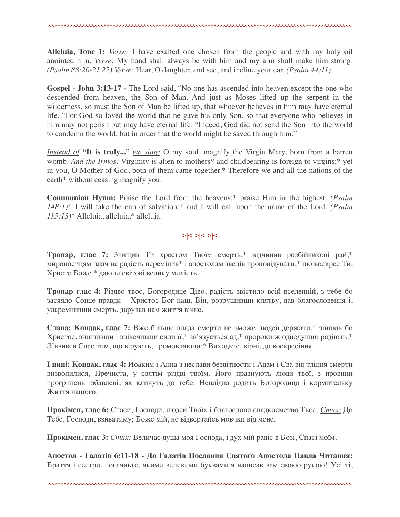**Alleluia, Tone 1:** *Verse:* I have exalted one chosen from the people and with my holy oil anointed him. *Verse:* My hand shall always be with him and my arm shall make him strong. *(Psalm 88:20-21,22) Verse:* Hear, O daughter, and see, and incline your ear. *(Psalm 44:11)*

Gospel - John 3:13-17 - The Lord said, "No one has ascended into heaven except the one who descended from heaven, the Son of Man. And just as Moses lifted up the serpent in the wilderness, so must the Son of Man be lifted up, that whoever believes in him may have eternal life. "For God so loved the world that he gave his only Son, so that everyone who believes in him may not perish but may have eternal life. "Indeed, God did not send the Son into the world to condemn the world, but in order that the world might be saved through him."

*Instead of* **"It is truly..."** *we sing:* O my soul, magnify the Virgin Mary, born from a barren womb. *And the Irmos:* Virginity is alien to mothers\* and childbearing is foreign to virgins;\* yet in you, O Mother of God, both of them came together.\* Therefore we and all the nations of the earth\* without ceasing magnify you.

**Communion Hymn:** Praise the Lord from the heavens;\* praise Him in the highest. *(Psalm 148:1)*\* I will take the cup of salvation;\* and I will call upon the name of the Lord. *(Psalm 115:13)*\* Alleluia, alleluia,\* alleluia.

## **>|< >|< >|<**

**Тропар, глас 7:** 3нищив Ти хрестом Твоїм смерть,\* відчинив розбійникові рай,\* мироносицям плач на радість перемінив\* і апостолам звелів проповідувати,\* що воскрес Ти, Христе Боже,\* даючи світові велику милість.

**Тропар глас 4:** Різдво твоє, Богородице Діво, радість звістило всій вселенній, з тебе бо засяяло Сонце правди – Христос Бог наш. Він, розрушивши клятву, дав благословення і, ударемнивши смерть, дарував нам життя вічне.

**Слава: Кондак, глас 7:** Вже більше влада смерти не зможе людей держати,\* зійшов бо Христос, знищивши і знівечивши сили її,\* зв'язується ад,\* пророки ж однодушно радіють.\* З'явився Спас тим, що вірують, промовляючи:\* Виходьте, вірні, до воскресіння.

**І нині: Кондак, глас 4:** Йоаким і Анна з неслави бездітности і Адам і Єва від тління смерти визволилися, Пречиста, у святім різдві твоїм. Його празнують люди твої, з провини прогрішень ізбавлені, як кличуть до тебе: Неплідна родить Богородицо і кормительку Життя нашого.

**Прокімен, глас 6:** Спаси, Господи, людей Твоїх і благослови спадкоємство Твоє. *Cтих:* До Тебе, Господи, взиватиму; Боже мій, не відвертайсь мовчки від мене.

**Прокімен, глас 3:** *Cтих:* Величає душа моя Господа, і дух мій радіє в Бозі, Спасі моїм.

**Апостол - Галатів 6:11-18 - До Галатів Послання Святого Апостола Павла Читання:** Браття і сестри, погляньте, якими великими буквами я написав вам своєю рукою! Усі ті,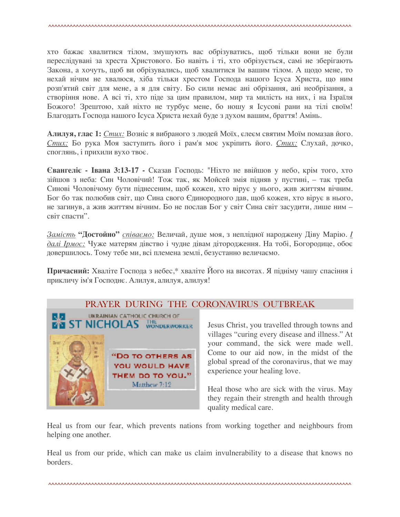хто бажає хвалитися тілом, змушують вас обрізуватись, щоб тільки вони не були переслідувані за хреста Христового. Бо навіть і ті, хто обрізується, самі не зберігають Закона, а хочуть, щоб ви обрізувались, щоб хвалитися їм вашим тілом. А щодо мене, то нехай нічим не хвалюся, хіба тільки хрестом Господа нашого Ісуса Христа, що ним розп'ятий світ для мене, а я для світу. Бо сили немає ані обрізання, ані необрізання, а створіння нове. А всі ті, хто піде за цим правилом, мир та милість на них, і на Ізраїля Божого! Зрештою, хай ніхто не турбує мене, бо ношу я Ісусові рани на тілі своїм! Благодать Господа нашого Ісуса Христа нехай буде з духом вашим, браття! Амінь.

**Алилуя, глас 1:** *Стих:* Возніс я вибраного з людей Моїх, єлеєм святим Моїм помазав його. *Стих:* Бо рука Моя заступить його і рам'я моє укріпить його. *Стих:* Слухай, дочко, споглянь, і прихили вухо твоє.

**Євангеліє - Івана 3:13-17 -** Сказав Господь: "Ніхто не ввійшов у небо, крім того, хто зійшов з неба: Син Чоловічий! Тож так, як Мойсей змія підняв у пустині, – так треба Синові Чоловічому бути піднесеним, щоб кожен, хто вірує у нього, жив життям вічним. Бог бо так полюбив світ, що Сина свого Єдинородного дав, щоб кожен, хто вірує в нього, не загинув, а жив життям вічним. Бо не послав Бог у світ Сина світ засудити, лише ним – світ спасти".

*Замість* **"Достойнo"** *співаємо:* Величай, душе моя, з неплідної народжену Діву Марію. *І далі Ірмос:* Чуже матерям дівство і чудне дівам дітородження. На тобі, Богородице, обоє довершилось. Тому тебе ми, всі племена землі, безустанно величаємо.

**Причасний:** Хваліте Господа з небес,\* хваліте Його на висотах. Я підніму чашу спасіння і прикличу ім'я Господнє. Алилуя, алилуя, алилуя!

## PRAYER DURING THE CORONAVIRUS OUTBREAK



Jesus Christ, you travelled through towns and villages "curing every disease and illness." At your command, the sick were made well. Come to our aid now, in the midst of the global spread of the coronavirus, that we may experience your healing love.

Heal those who are sick with the virus. May they regain their strength and health through quality medical care.

Heal us from our fear, which prevents nations from working together and neighbours from helping one another.

Heal us from our pride, which can make us claim invulnerability to a disease that knows no borders.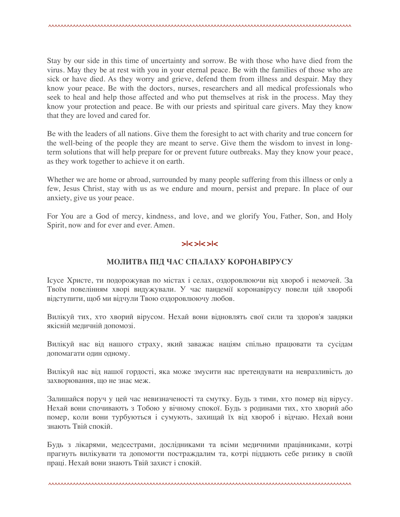Stay by our side in this time of uncertainty and sorrow. Be with those who have died from the virus. May they be at rest with you in your eternal peace. Be with the families of those who are sick or have died. As they worry and grieve, defend them from illness and despair. May they know your peace. Be with the doctors, nurses, researchers and all medical professionals who seek to heal and help those affected and who put themselves at risk in the process. May they know your protection and peace. Be with our priests and spiritual care givers. May they know that they are loved and cared for.

Be with the leaders of all nations. Give them the foresight to act with charity and true concern for the well-being of the people they are meant to serve. Give them the wisdom to invest in longterm solutions that will help prepare for or prevent future outbreaks. May they know your peace, as they work together to achieve it on earth.

Whether we are home or abroad, surrounded by many people suffering from this illness or only a few, Jesus Christ, stay with us as we endure and mourn, persist and prepare. In place of our anxiety, give us your peace.

For You are a God of mercy, kindness, and love, and we glorify You, Father, Son, and Holy Spirit, now and for ever and ever. Amen.

#### **>|< >|< >|<**

#### **МОЛИТВА ПІД ЧАС СПАЛАХУ КОРОНАВІРУСУ**

Ісусе Христе, ти подорожував по містах і селах, оздоровлюючи від хвороб і немочей. За Твоїм повелінням хворі видужували. У час пандемії коронавірусу повели цій хворобі відступити, щоб ми відчули Твою оздоровлюючу любов.

Вилікуй тих, хто хворий вірусом. Нехай вони відновлять свої сили та здоров'я завдяки якісній медичній допомозі.

Вилікуй нас від нашого страху, який заважає націям спільно працювати та сусідам допомагати один одному.

Вилікуй нас від нашої гордості, яка може змусити нас претендувати на невразливість до захворювання, що не знає меж.

Залишайся поруч у цей час невизначеності та смутку. Будь з тими, хто помер від вірусу. Нехай вони спочивають з Тобою у вічному спокої. Будь з родинами тих, хто хворий або помер, коли вони турбуються і сумують, захищай їх від хвороб і відчаю. Нехай вони знають Твій спокій.

Будь з лікарями, медсестрами, дослідниками та всіми медичними працівниками, котрі прагнуть вилікувати та допомогти постраждалим та, котрі піддають себе ризику в своїй праці. Нехай вони знають Твій захист і спокій.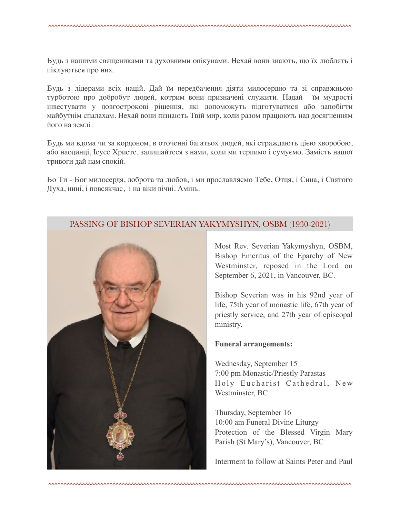Будь з нашими священиками та духовними опікунами. Нехай вони знають, що їх люблять і піклуються про них.

Будь з лідерами всіх націй. Дай їм передбачення діяти милосердно та зі справжньою турботою про добробут людей, котрим вони призначені служити. Надай їм мудрості інвестувати у довгострокові рішення, які допоможуть підготуватися або запобігти майбутнім спалахам. Нехай вони пізнають Твій мир, коли разом працюють над досягненням його на землі.

Будь ми вдома чи за кордоном, в оточенні багатьох людей, які страждають цією хворобою, або наодинці, Ісусе Христе, залишайтеся з нами, коли ми терпимо і сумуємо. Замість нашої тривоги дай нам спокій.

Бо Ти - Бог милосердя, доброта та любов, і ми прославляємо Тебе, Отця, і Сина, і Святого Духа, нині, і повсякчас, і на віки вічні. Амінь.

### PASSING OF BISHOP SEVERIAN YAKYMYSHYN, OSBM (1930-2021)



Most Rev. Severian Yakymyshyn, OSBM, Bishop Emeritus of the Eparchy of New Westminster, reposed in the Lord on September 6, 2021, in Vancouver, BC.

Bishop Severian was in his 92nd year of life, 75th year of monastic life, 67th year of priestly service, and 27th year of episcopal ministry.

#### **Funeral arrangements:**

Wednesday, September 15 7:00 pm Monastic/Priestly Parastas Holy Eucharist Cathedral, New Westminster, BC

Thursday, September 16 10:00 am Funeral Divine Liturgy Protection of the Blessed Virgin Mary Parish (St Mary's), Vancouver, BC

Interment to follow at Saints Peter and Paul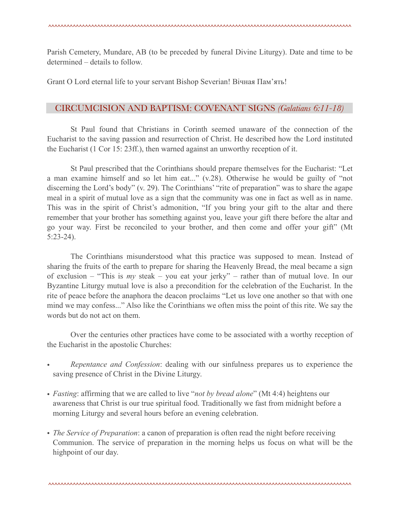Parish Cemetery, Mundare, AB (to be preceded by funeral Divine Liturgy). Date and time to be determined – details to follow.

Grant O Lord eternal life to your servant Bishop Severian! Вічная Пам'ять!

### CIRCUMCISION AND BAPTISM: COVENANT SIGNS *(Galatians 6:11-18)*

 St Paul found that Christians in Corinth seemed unaware of the connection of the Eucharist to the saving passion and resurrection of Christ. He described how the Lord instituted the Eucharist (1 Cor 15: 23ff.), then warned against an unworthy reception of it.

 St Paul prescribed that the Corinthians should prepare themselves for the Eucharist: "Let a man examine himself and so let him eat..." (v.28). Otherwise he would be guilty of "not discerning the Lord's body" (v. 29). The Corinthians' "rite of preparation" was to share the agape meal in a spirit of mutual love as a sign that the community was one in fact as well as in name. This was in the spirit of Christ's admonition, "If you bring your gift to the altar and there remember that your brother has something against you, leave your gift there before the altar and go your way. First be reconciled to your brother, and then come and offer your gift" (Mt 5:23-24).

 The Corinthians misunderstood what this practice was supposed to mean. Instead of sharing the fruits of the earth to prepare for sharing the Heavenly Bread, the meal became a sign of exclusion – "This is *my* steak – you eat your jerky" – rather than of mutual love. In our Byzantine Liturgy mutual love is also a precondition for the celebration of the Eucharist. In the rite of peace before the anaphora the deacon proclaims "Let us love one another so that with one mind we may confess..." Also like the Corinthians we often miss the point of this rite. We say the words but do not act on them.

 Over the centuries other practices have come to be associated with a worthy reception of the Eucharist in the apostolic Churches:

- *Repentance and Confession*: dealing with our sinfulness prepares us to experience the saving presence of Christ in the Divine Liturgy.
- *Fasting*: affirming that we are called to live "*not by bread alone*" (Mt 4:4) heightens our awareness that Christ is our true spiritual food. Traditionally we fast from midnight before a morning Liturgy and several hours before an evening celebration.
- *The Service of Preparation*: a canon of preparation is often read the night before receiving Communion. The service of preparation in the morning helps us focus on what will be the highpoint of our day.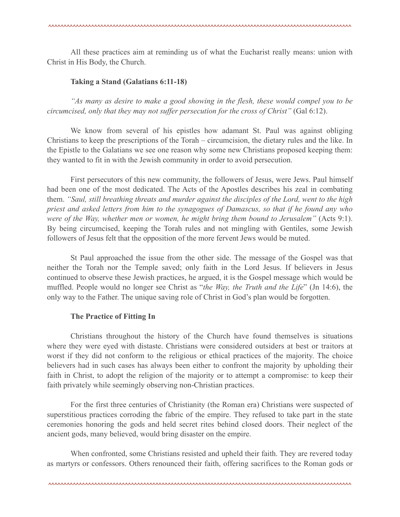All these practices aim at reminding us of what the Eucharist really means: union with Christ in His Body, the Church.

#### **Taking a Stand (Galatians 6:11-18)**

*"As many as desire to make a good showing in the flesh, these would compel you to be circumcised, only that they may not suffer persecution for the cross of Christ"* (Gal 6:12).

 We know from several of his epistles how adamant St. Paul was against obliging Christians to keep the prescriptions of the Torah – circumcision, the dietary rules and the like. In the Epistle to the Galatians we see one reason why some new Christians proposed keeping them: they wanted to fit in with the Jewish community in order to avoid persecution.

 First persecutors of this new community, the followers of Jesus, were Jews. Paul himself had been one of the most dedicated. The Acts of the Apostles describes his zeal in combating them. *"Saul, still breathing threats and murder against the disciples of the Lord, went to the high priest and asked letters from him to the synagogues of Damascus, so that if he found any who were of the Way, whether men or women, he might bring them bound to Jerusalem"* (Acts 9:1). By being circumcised, keeping the Torah rules and not mingling with Gentiles, some Jewish followers of Jesus felt that the opposition of the more fervent Jews would be muted.

 St Paul approached the issue from the other side. The message of the Gospel was that neither the Torah nor the Temple saved; only faith in the Lord Jesus. If believers in Jesus continued to observe these Jewish practices, he argued, it is the Gospel message which would be muffled. People would no longer see Christ as "*the Way, the Truth and the Life*" (Jn 14:6), the only way to the Father. The unique saving role of Christ in God's plan would be forgotten.

#### **The Practice of Fitting In**

 Christians throughout the history of the Church have found themselves is situations where they were eyed with distaste. Christians were considered outsiders at best or traitors at worst if they did not conform to the religious or ethical practices of the majority. The choice believers had in such cases has always been either to confront the majority by upholding their faith in Christ, to adopt the religion of the majority or to attempt a compromise: to keep their faith privately while seemingly observing non-Christian practices.

 For the first three centuries of Christianity (the Roman era) Christians were suspected of superstitious practices corroding the fabric of the empire. They refused to take part in the state ceremonies honoring the gods and held secret rites behind closed doors. Their neglect of the ancient gods, many believed, would bring disaster on the empire.

 When confronted, some Christians resisted and upheld their faith. They are revered today as martyrs or confessors. Others renounced their faith, offering sacrifices to the Roman gods or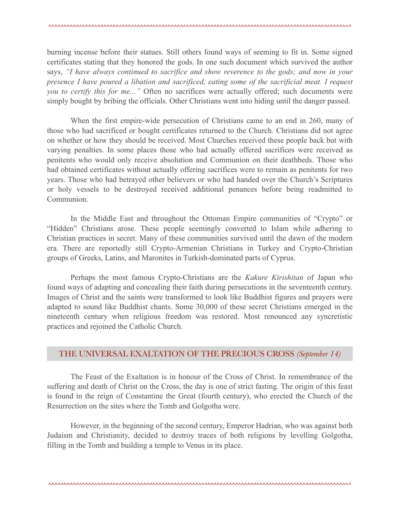burning incense before their statues. Still others found ways of seeming to fit in. Some signed certificates stating that they honored the gods. In one such document which survived the author says, *"I have always continued to sacrifice and show reverence to the gods; and now in your presence I have poured a libation and sacrificed, eating some of the sacrificial meat. I request you to certify this for me..."* Often no sacrifices were actually offered; such documents were simply bought by bribing the officials. Other Christians went into hiding until the danger passed.

 When the first empire-wide persecution of Christians came to an end in 260, many of those who had sacrificed or bought certificates returned to the Church. Christians did not agree on whether or how they should be received. Most Churches received these people back but with varying penalties. In some places those who had actually offered sacrifices were received as penitents who would only receive absolution and Communion on their deathbeds. Those who had obtained certificates without actually offering sacrifices were to remain as penitents for two years. Those who had betrayed other believers or who had handed over the Church's Scriptures or holy vessels to be destroyed received additional penances before being readmitted to Communion.

 In the Middle East and throughout the Ottoman Empire communities of "Crypto" or "Hidden" Christians arose. These people seemingly converted to Islam while adhering to Christian practices in secret. Many of these communities survived until the dawn of the modern era. There are reportedly still Crypto-Armenian Christians in Turkey and Crypto-Christian groups of Greeks, Latins, and Maronites in Turkish-dominated parts of Cyprus.

 Perhaps the most famous Crypto-Christians are the *Kakure Kirishitan* of Japan who found ways of adapting and concealing their faith during persecutions in the seventeenth century. Images of Christ and the saints were transformed to look like Buddhist figures and prayers were adapted to sound like Buddhist chants. Some 30,000 of these secret Christians emerged in the nineteenth century when religious freedom was restored. Most renounced any syncretistic practices and rejoined the Catholic Church.

### THE UNIVERSAL EXALTATION OF THE PRECIOUS CROSS *(September 14)*

 The Feast of the Exaltation is in honour of the Cross of Christ. In remembrance of the suffering and death of Christ on the Cross, the day is one of strict fasting. The origin of this feast is found in the reign of Constantine the Great (fourth century), who erected the Church of the Resurrection on the sites where the Tomb and Golgotha were.

 However, in the beginning of the second century, Emperor Hadrian, who was against both Judaism and Christianity, decided to destroy traces of both religions by levelling Golgotha, filling in the Tomb and building a temple to Venus in its place.